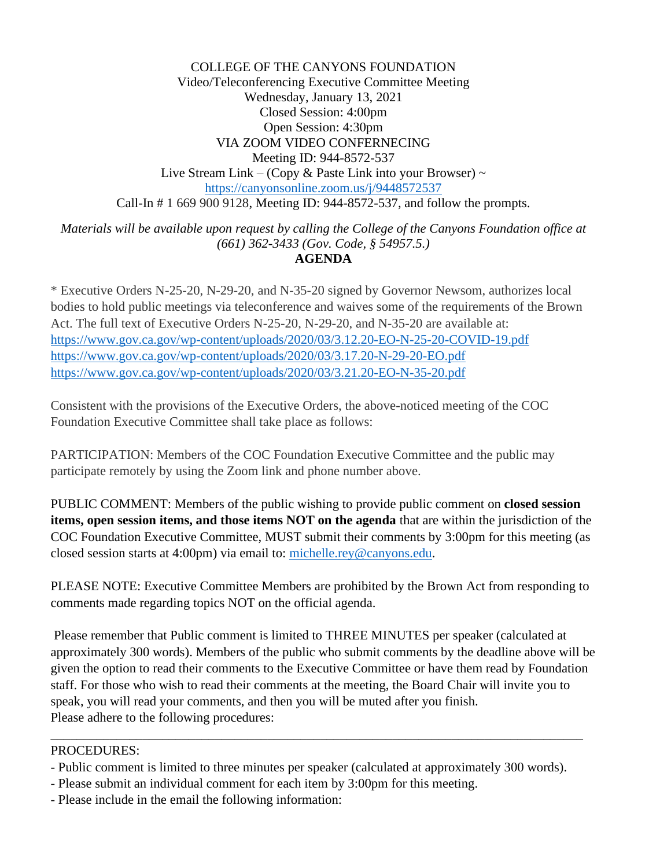COLLEGE OF THE CANYONS FOUNDATION Video/Teleconferencing Executive Committee Meeting Wednesday, January 13, 2021 Closed Session: 4:00pm Open Session: 4:30pm VIA ZOOM VIDEO CONFERNECING Meeting ID: 944-8572-537 Live Stream Link – (Copy & Paste Link into your Browser)  $\sim$ <https://canyonsonline.zoom.us/j/9448572537> Call-In # 1 669 900 9128, Meeting ID: 944-8572-537, and follow the prompts.

*Materials will be available upon request by calling the College of the Canyons Foundation office at (661) 362-3433 (Gov. Code, § 54957.5.)*  **AGENDA** 

\* Executive Orders N-25-20, N-29-20, and N-35-20 signed by Governor Newsom, authorizes local bodies to hold public meetings via teleconference and waives some of the requirements of the Brown Act. The full text of Executive Orders N-25-20, N-29-20, and N-35-20 are available at: <https://www.gov.ca.gov/wp-content/uploads/2020/03/3.12.20-EO-N-25-20-COVID-19.pdf> <https://www.gov.ca.gov/wp-content/uploads/2020/03/3.17.20-N-29-20-EO.pdf> <https://www.gov.ca.gov/wp-content/uploads/2020/03/3.21.20-EO-N-35-20.pdf>

 Foundation Executive Committee shall take place as follows: Consistent with the provisions of the Executive Orders, the above-noticed meeting of the COC

PARTICIPATION: Members of the COC Foundation Executive Committee and the public may participate remotely by using the Zoom link and phone number above.

 **items, open session items, and those items NOT on the agenda** that are within the jurisdiction of the COC Foundation Executive Committee, MUST submit their comments by 3:00pm for this meeting (as PUBLIC COMMENT: Members of the public wishing to provide public comment on **closed session**  closed session starts at 4:00pm) via email to: [michelle.rey@canyons.edu.](mailto:michelle.rey@canyons.edu)

comments made regarding topics NOT on the official agenda. PLEASE NOTE: Executive Committee Members are prohibited by the Brown Act from responding to

 given the option to read their comments to the Executive Committee or have them read by Foundation staff. For those who wish to read their comments at the meeting, the Board Chair will invite you to speak, you will read your comments, and then you will be muted after you finish. Please remember that Public comment is limited to THREE MINUTES per speaker (calculated at approximately 300 words). Members of the public who submit comments by the deadline above will be Please adhere to the following procedures:

### PROCEDURES:

- Public comment is limited to three minutes per speaker (calculated at approximately 300 words).

\_\_\_\_\_\_\_\_\_\_\_\_\_\_\_\_\_\_\_\_\_\_\_\_\_\_\_\_\_\_\_\_\_\_\_\_\_\_\_\_\_\_\_\_\_\_\_\_\_\_\_\_\_\_\_\_\_\_\_\_\_\_\_\_\_\_\_\_\_\_\_\_\_\_\_\_\_\_\_\_\_

- Please submit an individual comment for each item by 3:00pm for this meeting.
- Please include in the email the following information: